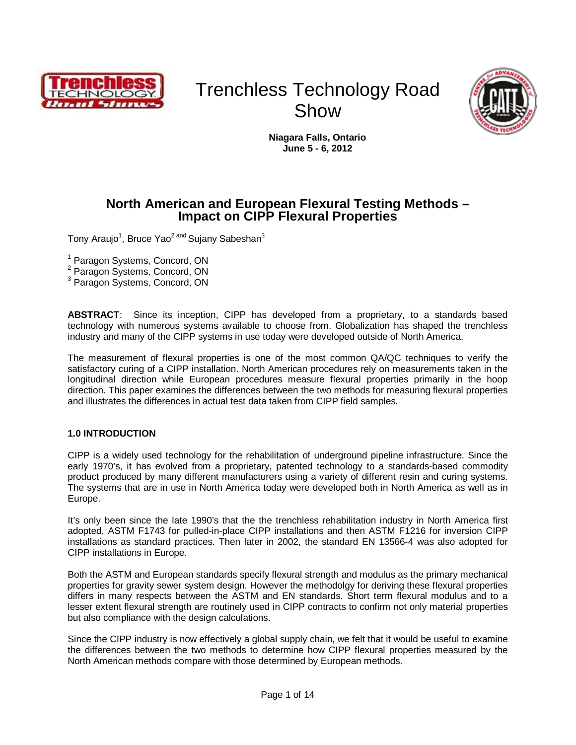

# Trenchless Technology Road Show



**Niagara Falls, Ontario June 5 - 6, 2012**

### **North American and European Flexural Testing Methods – Impact on CIPP Flexural Properties**

Tony Araujo<sup>1</sup>, Bruce Yao<sup>2 and</sup> Sujany Sabeshan<sup>3</sup>

1 Paragon Systems, Concord, ON

<sup>2</sup> Paragon Systems, Concord, ON

<sup>3</sup> Paragon Systems, Concord, ON

**ABSTRACT**: Since its inception, CIPP has developed from a proprietary, to a standards based technology with numerous systems available to choose from. Globalization has shaped the trenchless industry and many of the CIPP systems in use today were developed outside of North America.

The measurement of flexural properties is one of the most common QA/QC techniques to verify the satisfactory curing of a CIPP installation. North American procedures rely on measurements taken in the longitudinal direction while European procedures measure flexural properties primarily in the hoop direction. This paper examines the differences between the two methods for measuring flexural properties and illustrates the differences in actual test data taken from CIPP field samples.

### **1.0 INTRODUCTION**

CIPP is a widely used technology for the rehabilitation of underground pipeline infrastructure. Since the early 1970's, it has evolved from a proprietary, patented technology to a standards-based commodity product produced by many different manufacturers using a variety of different resin and curing systems. The systems that are in use in North America today were developed both in North America as well as in Europe.

It's only been since the late 1990's that the the trenchless rehabilitation industry in North America first adopted, ASTM F1743 for pulled-in-place CIPP installations and then ASTM F1216 for inversion CIPP installations as standard practices. Then later in 2002, the standard EN 13566-4 was also adopted for CIPP installations in Europe.

Both the ASTM and European standards specify flexural strength and modulus as the primary mechanical properties for gravity sewer system design. However the methodolgy for deriving these flexural properties differs in many respects between the ASTM and EN standards. Short term flexural modulus and to a lesser extent flexural strength are routinely used in CIPP contracts to confirm not only material properties but also compliance with the design calculations.

Since the CIPP industry is now effectively a global supply chain, we felt that it would be useful to examine the differences between the two methods to determine how CIPP flexural properties measured by the North American methods compare with those determined by European methods.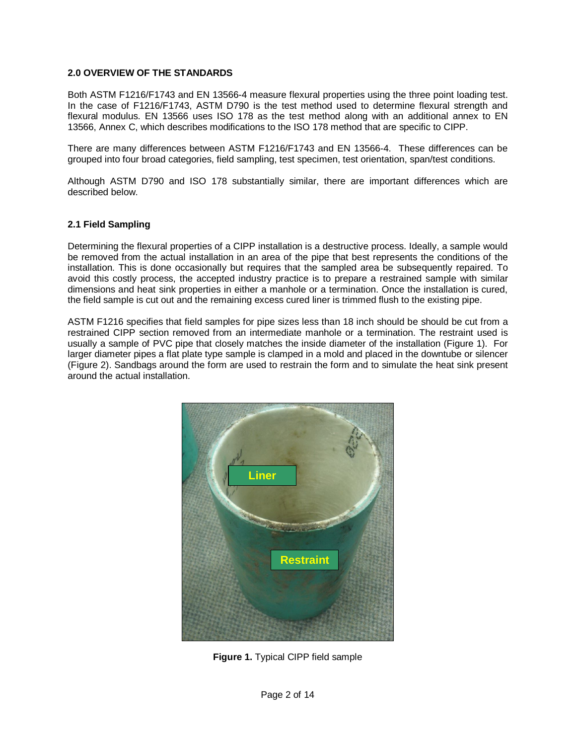### **2.0 OVERVIEW OF THE STANDARDS**

Both ASTM F1216/F1743 and EN 13566-4 measure flexural properties using the three point loading test. In the case of F1216/F1743, ASTM D790 is the test method used to determine flexural strength and flexural modulus. EN 13566 uses ISO 178 as the test method along with an additional annex to EN 13566, Annex C, which describes modifications to the ISO 178 method that are specific to CIPP.

There are many differences between ASTM F1216/F1743 and EN 13566-4. These differences can be grouped into four broad categories, field sampling, test specimen, test orientation, span/test conditions.

Although ASTM D790 and ISO 178 substantially similar, there are important differences which are described below.

### **2.1 Field Sampling**

Determining the flexural properties of a CIPP installation is a destructive process. Ideally, a sample would be removed from the actual installation in an area of the pipe that best represents the conditions of the installation. This is done occasionally but requires that the sampled area be subsequently repaired. To avoid this costly process, the accepted industry practice is to prepare a restrained sample with similar dimensions and heat sink properties in either a manhole or a termination. Once the installation is cured, the field sample is cut out and the remaining excess cured liner is trimmed flush to the existing pipe.

ASTM F1216 specifies that field samples for pipe sizes less than 18 inch should be should be cut from a restrained CIPP section removed from an intermediate manhole or a termination. The restraint used is usually a sample of PVC pipe that closely matches the inside diameter of the installation (Figure 1). For larger diameter pipes a flat plate type sample is clamped in a mold and placed in the downtube or silencer (Figure 2). Sandbags around the form are used to restrain the form and to simulate the heat sink present around the actual installation.



**Figure 1.** Typical CIPP field sample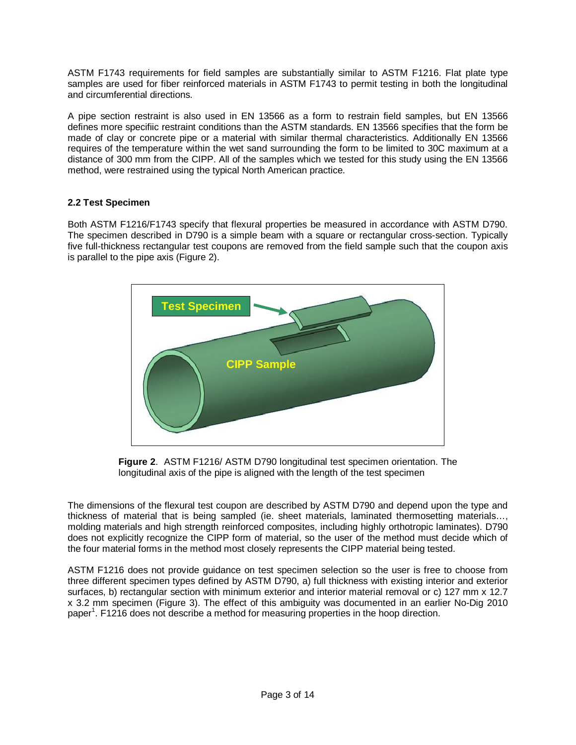ASTM F1743 requirements for field samples are substantially similar to ASTM F1216. Flat plate type samples are used for fiber reinforced materials in ASTM F1743 to permit testing in both the longitudinal and circumferential directions.

A pipe section restraint is also used in EN 13566 as a form to restrain field samples, but EN 13566 defines more specifiic restraint conditions than the ASTM standards. EN 13566 specifies that the form be made of clay or concrete pipe or a material with similar thermal characteristics. Additionally EN 13566 requires of the temperature within the wet sand surrounding the form to be limited to 30C maximum at a distance of 300 mm from the CIPP. All of the samples which we tested for this study using the EN 13566 method, were restrained using the typical North American practice.

### **2.2 Test Specimen**

Both ASTM F1216/F1743 specify that flexural properties be measured in accordance with ASTM D790. The specimen described in D790 is a simple beam with a square or rectangular cross-section. Typically five full-thickness rectangular test coupons are removed from the field sample such that the coupon axis is parallel to the pipe axis (Figure 2).



**Figure 2**. ASTM F1216/ ASTM D790 longitudinal test specimen orientation. The longitudinal axis of the pipe is aligned with the length of the test specimen

The dimensions of the flexural test coupon are described by ASTM D790 and depend upon the type and thickness of material that is being sampled (ie. sheet materials, laminated thermosetting materials…, molding materials and high strength reinforced composites, including highly orthotropic laminates). D790 does not explicitly recognize the CIPP form of material, so the user of the method must decide which of the four material forms in the method most closely represents the CIPP material being tested.

ASTM F1216 does not provide guidance on test specimen selection so the user is free to choose from three different specimen types defined by ASTM D790, a) full thickness with existing interior and exterior surfaces, b) rectangular section with minimum exterior and interior material removal or c) 127 mm x 12.7 x 3.2 mm specimen (Figure 3). The effect of this ambiguity was documented in an earlier No-Dig 2010 paper<sup>1</sup>. F1216 does not describe a method for measuring properties in the hoop direction.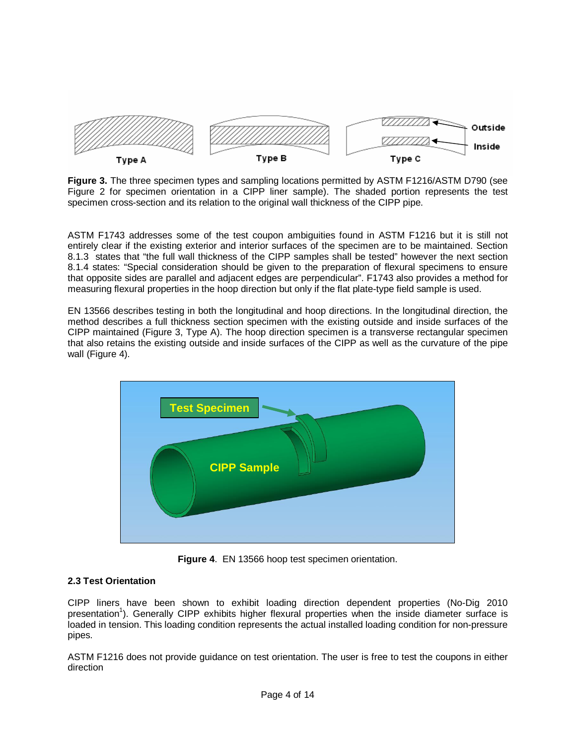

**Figure 3.** The three specimen types and sampling locations permitted by ASTM F1216/ASTM D790 (see Figure 2 for specimen orientation in a CIPP liner sample). The shaded portion represents the test specimen cross-section and its relation to the original wall thickness of the CIPP pipe.

ASTM F1743 addresses some of the test coupon ambiguities found in ASTM F1216 but it is still not entirely clear if the existing exterior and interior surfaces of the specimen are to be maintained. Section 8.1.3 states that "the full wall thickness of the CIPP samples shall be tested" however the next section 8.1.4 states: "Special consideration should be given to the preparation of flexural specimens to ensure that opposite sides are parallel and adjacent edges are perpendicular". F1743 also provides a method for measuring flexural properties in the hoop direction but only if the flat plate-type field sample is used.

EN 13566 describes testing in both the longitudinal and hoop directions. In the longitudinal direction, the method describes a full thickness section specimen with the existing outside and inside surfaces of the CIPP maintained (Figure 3, Type A). The hoop direction specimen is a transverse rectangular specimen that also retains the existing outside and inside surfaces of the CIPP as well as the curvature of the pipe wall (Figure 4).



**Figure 4**. EN 13566 hoop test specimen orientation.

### **2.3 Test Orientation**

CIPP liners have been shown to exhibit loading direction dependent properties (No-Dig 2010 presentation<sup>1</sup>). Generally CIPP exhibits higher flexural properties when the inside diameter surface is loaded in tension. This loading condition represents the actual installed loading condition for non-pressure pipes.

ASTM F1216 does not provide guidance on test orientation. The user is free to test the coupons in either direction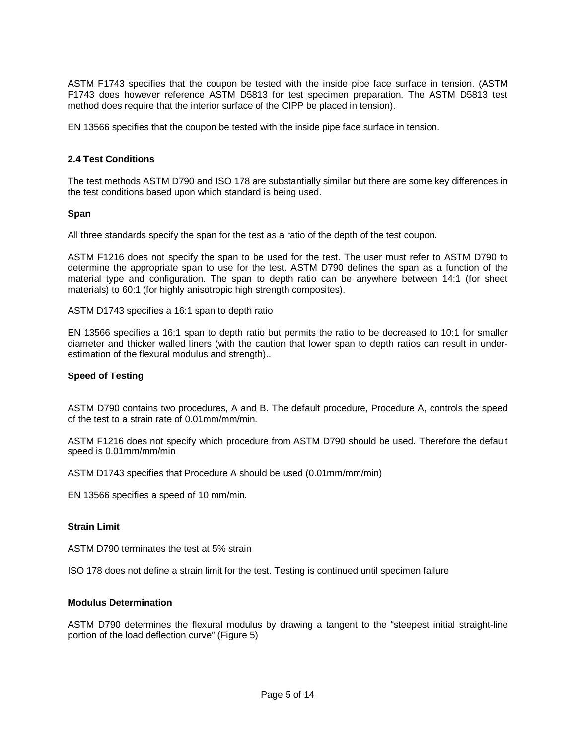ASTM F1743 specifies that the coupon be tested with the inside pipe face surface in tension. (ASTM F1743 does however reference ASTM D5813 for test specimen preparation. The ASTM D5813 test method does require that the interior surface of the CIPP be placed in tension).

EN 13566 specifies that the coupon be tested with the inside pipe face surface in tension.

### **2.4 Test Conditions**

The test methods ASTM D790 and ISO 178 are substantially similar but there are some key differences in the test conditions based upon which standard is being used.

### **Span**

All three standards specify the span for the test as a ratio of the depth of the test coupon.

ASTM F1216 does not specify the span to be used for the test. The user must refer to ASTM D790 to determine the appropriate span to use for the test. ASTM D790 defines the span as a function of the material type and configuration. The span to depth ratio can be anywhere between 14:1 (for sheet materials) to 60:1 (for highly anisotropic high strength composites).

ASTM D1743 specifies a 16:1 span to depth ratio

EN 13566 specifies a 16:1 span to depth ratio but permits the ratio to be decreased to 10:1 for smaller diameter and thicker walled liners (with the caution that lower span to depth ratios can result in underestimation of the flexural modulus and strength)..

### **Speed of Testing**

ASTM D790 contains two procedures, A and B. The default procedure, Procedure A, controls the speed of the test to a strain rate of 0.01mm/mm/min.

ASTM F1216 does not specify which procedure from ASTM D790 should be used. Therefore the default speed is 0.01mm/mm/min

ASTM D1743 specifies that Procedure A should be used (0.01mm/mm/min)

EN 13566 specifies a speed of 10 mm/min.

### **Strain Limit**

ASTM D790 terminates the test at 5% strain

ISO 178 does not define a strain limit for the test. Testing is continued until specimen failure

### **Modulus Determination**

ASTM D790 determines the flexural modulus by drawing a tangent to the "steepest initial straight-line portion of the load deflection curve" (Figure 5)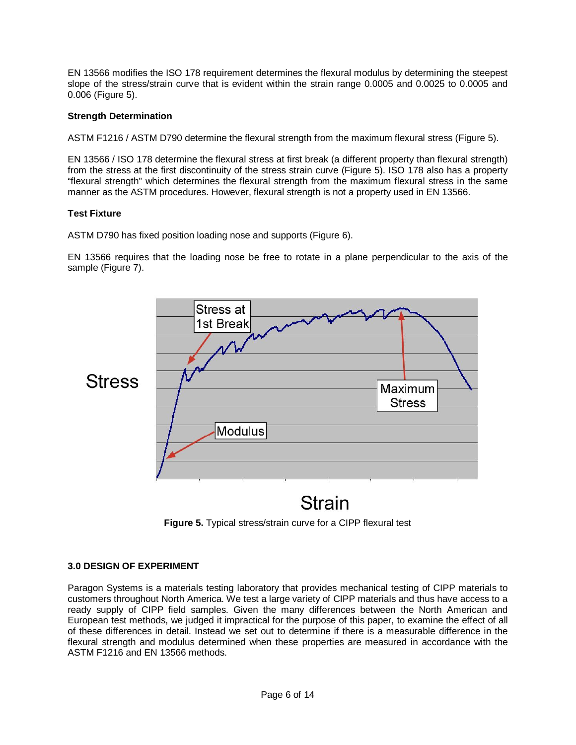EN 13566 modifies the ISO 178 requirement determines the flexural modulus by determining the steepest slope of the stress/strain curve that is evident within the strain range 0.0005 and 0.0025 to 0.0005 and 0.006 (Figure 5).

### **Strength Determination**

ASTM F1216 / ASTM D790 determine the flexural strength from the maximum flexural stress (Figure 5).

EN 13566 / ISO 178 determine the flexural stress at first break (a different property than flexural strength) from the stress at the first discontinuity of the stress strain curve (Figure 5). ISO 178 also has a property "flexural strength" which determines the flexural strength from the maximum flexural stress in the same manner as the ASTM procedures. However, flexural strength is not a property used in EN 13566.

### **Test Fixture**

ASTM D790 has fixed position loading nose and supports (Figure 6).

EN 13566 requires that the loading nose be free to rotate in a plane perpendicular to the axis of the sample (Figure 7).



## **Strain**



### **3.0 DESIGN OF EXPERIMENT**

Paragon Systems is a materials testing laboratory that provides mechanical testing of CIPP materials to customers throughout North America. We test a large variety of CIPP materials and thus have access to a ready supply of CIPP field samples. Given the many differences between the North American and European test methods, we judged it impractical for the purpose of this paper, to examine the effect of all of these differences in detail. Instead we set out to determine if there is a measurable difference in the flexural strength and modulus determined when these properties are measured in accordance with the ASTM F1216 and EN 13566 methods.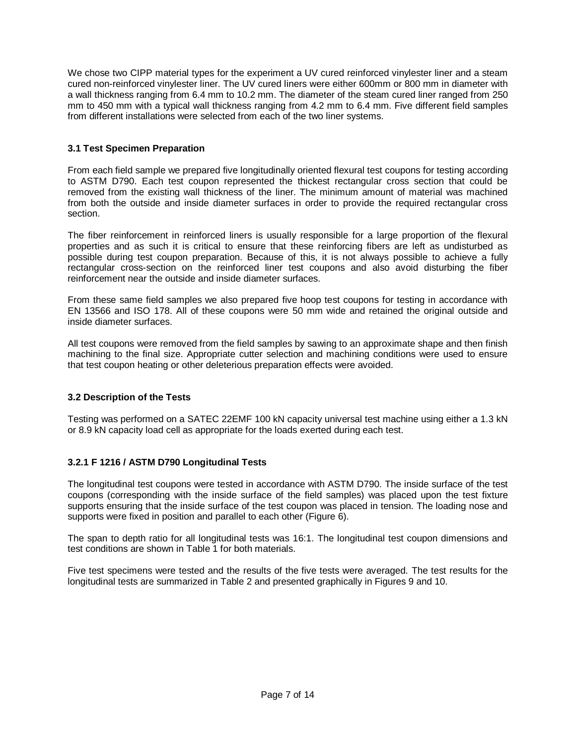We chose two CIPP material types for the experiment a UV cured reinforced vinylester liner and a steam cured non-reinforced vinylester liner. The UV cured liners were either 600mm or 800 mm in diameter with a wall thickness ranging from 6.4 mm to 10.2 mm. The diameter of the steam cured liner ranged from 250 mm to 450 mm with a typical wall thickness ranging from 4.2 mm to 6.4 mm. Five different field samples from different installations were selected from each of the two liner systems.

### **3.1 Test Specimen Preparation**

From each field sample we prepared five longitudinally oriented flexural test coupons for testing according to ASTM D790. Each test coupon represented the thickest rectangular cross section that could be removed from the existing wall thickness of the liner. The minimum amount of material was machined from both the outside and inside diameter surfaces in order to provide the required rectangular cross section.

The fiber reinforcement in reinforced liners is usually responsible for a large proportion of the flexural properties and as such it is critical to ensure that these reinforcing fibers are left as undisturbed as possible during test coupon preparation. Because of this, it is not always possible to achieve a fully rectangular cross-section on the reinforced liner test coupons and also avoid disturbing the fiber reinforcement near the outside and inside diameter surfaces.

From these same field samples we also prepared five hoop test coupons for testing in accordance with EN 13566 and ISO 178. All of these coupons were 50 mm wide and retained the original outside and inside diameter surfaces.

All test coupons were removed from the field samples by sawing to an approximate shape and then finish machining to the final size. Appropriate cutter selection and machining conditions were used to ensure that test coupon heating or other deleterious preparation effects were avoided.

### **3.2 Description of the Tests**

Testing was performed on a SATEC 22EMF 100 kN capacity universal test machine using either a 1.3 kN or 8.9 kN capacity load cell as appropriate for the loads exerted during each test.

### **3.2.1 F 1216 / ASTM D790 Longitudinal Tests**

The longitudinal test coupons were tested in accordance with ASTM D790. The inside surface of the test coupons (corresponding with the inside surface of the field samples) was placed upon the test fixture supports ensuring that the inside surface of the test coupon was placed in tension. The loading nose and supports were fixed in position and parallel to each other (Figure 6).

The span to depth ratio for all longitudinal tests was 16:1. The longitudinal test coupon dimensions and test conditions are shown in Table 1 for both materials.

Five test specimens were tested and the results of the five tests were averaged. The test results for the longitudinal tests are summarized in Table 2 and presented graphically in Figures 9 and 10.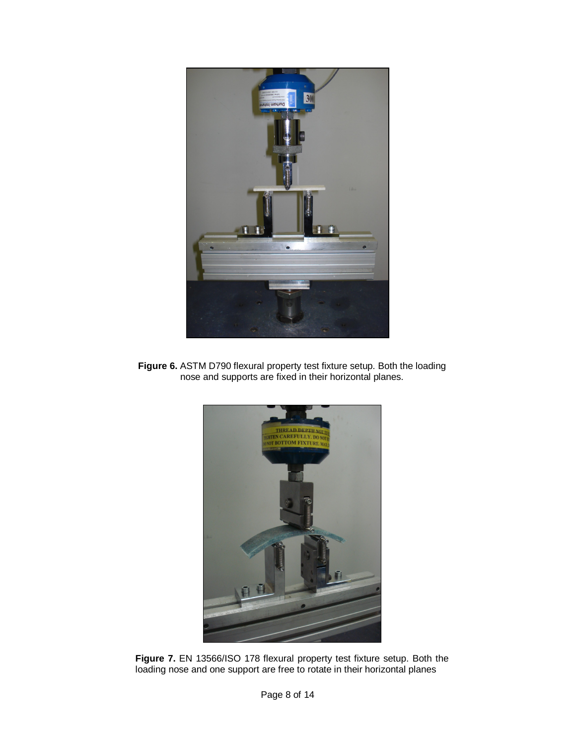

**Figure 6.** ASTM D790 flexural property test fixture setup. Both the loading nose and supports are fixed in their horizontal planes.



**Figure 7.** EN 13566/ISO 178 flexural property test fixture setup. Both the loading nose and one support are free to rotate in their horizontal planes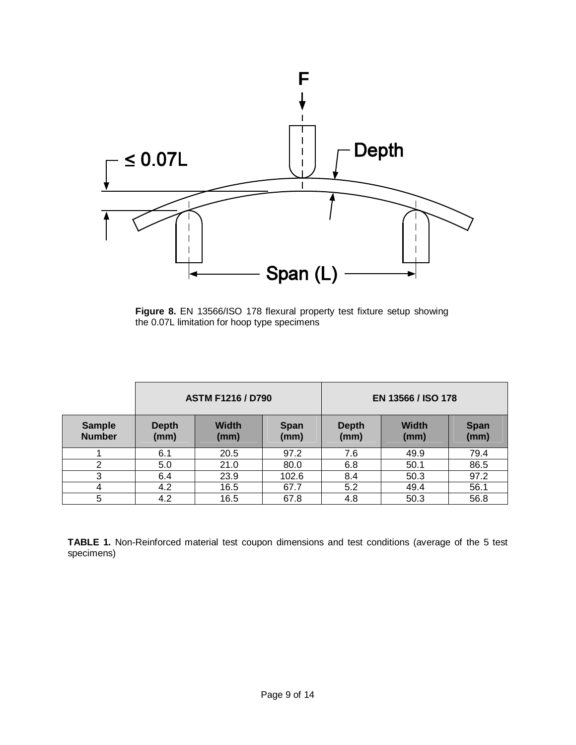

**Figure 8.** EN 13566/ISO 178 flexural property test fixture setup showing the 0.07L limitation for hoop type specimens

|                                | <b>ASTM F1216 / D790</b> |                      |                     | <b>EN 13566 / ISO 178</b> |                      |                     |
|--------------------------------|--------------------------|----------------------|---------------------|---------------------------|----------------------|---------------------|
| <b>Sample</b><br><b>Number</b> | <b>Depth</b><br>(mm)     | <b>Width</b><br>(mm) | <b>Span</b><br>(mm) | <b>Depth</b><br>(mm)      | <b>Width</b><br>(mm) | <b>Span</b><br>(mm) |
|                                | 6.1                      | 20.5                 | 97.2                | 7.6                       | 49.9                 | 79.4                |
| 2                              | 5.0                      | 21.0                 | 80.0                | 6.8                       | 50.1                 | 86.5                |
| 3                              | 6.4                      | 23.9                 | 102.6               | 8.4                       | 50.3                 | 97.2                |
| 4                              | 4.2                      | 16.5                 | 67.7                | 5.2                       | 49.4                 | 56.1                |
| 5                              | 4.2                      | 16.5                 | 67.8                | 4.8                       | 50.3                 | 56.8                |

**TABLE 1.** Non-Reinforced material test coupon dimensions and test conditions (average of the 5 test specimens)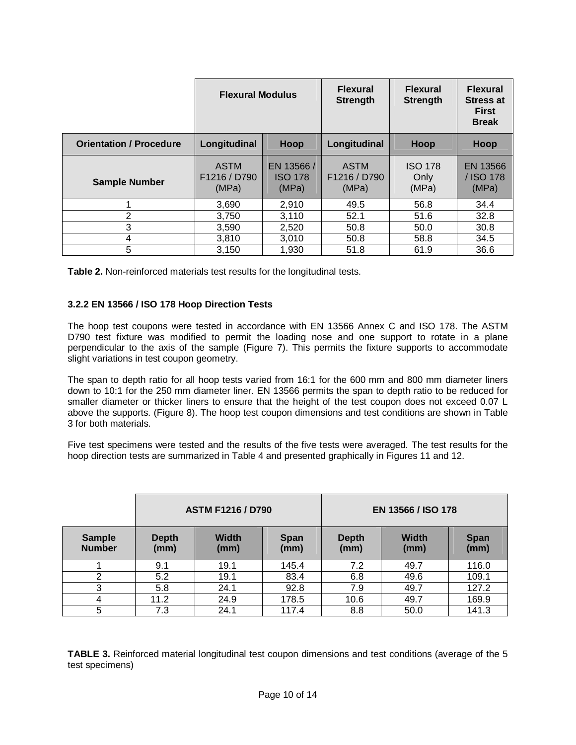|                                | <b>Flexural Modulus</b>              |                                      | <b>Flexural</b><br><b>Strength</b>   | <b>Flexural</b><br><b>Strength</b> | <b>Flexural</b><br><b>Stress at</b><br><b>First</b><br><b>Break</b> |
|--------------------------------|--------------------------------------|--------------------------------------|--------------------------------------|------------------------------------|---------------------------------------------------------------------|
| <b>Orientation / Procedure</b> | Longitudinal                         | Hoop                                 | Longitudinal                         | <b>Hoop</b>                        | Hoop                                                                |
| <b>Sample Number</b>           | <b>ASTM</b><br>F1216 / D790<br>(MPa) | EN 13566/<br><b>ISO 178</b><br>(MPa) | <b>ASTM</b><br>F1216 / D790<br>(MPa) | <b>ISO 178</b><br>Only<br>(MPa)    | EN 13566<br>/ ISO 178<br>(MPa)                                      |
|                                | 3,690                                | 2,910                                | 49.5                                 | 56.8                               | 34.4                                                                |
| 2                              | 3,750                                | 3,110                                | 52.1                                 | 51.6                               | 32.8                                                                |
| 3                              | 3,590                                | 2,520                                | 50.8                                 | 50.0                               | 30.8                                                                |
| 4                              | 3,810                                | 3,010                                | 50.8                                 | 58.8                               | 34.5                                                                |
| 5                              | 3,150                                | 1,930                                | 51.8                                 | 61.9                               | 36.6                                                                |

**Table 2.** Non-reinforced materials test results for the longitudinal tests.

### **3.2.2 EN 13566 / ISO 178 Hoop Direction Tests**

The hoop test coupons were tested in accordance with EN 13566 Annex C and ISO 178. The ASTM D790 test fixture was modified to permit the loading nose and one support to rotate in a plane perpendicular to the axis of the sample (Figure 7). This permits the fixture supports to accommodate slight variations in test coupon geometry.

The span to depth ratio for all hoop tests varied from 16:1 for the 600 mm and 800 mm diameter liners down to 10:1 for the 250 mm diameter liner. EN 13566 permits the span to depth ratio to be reduced for smaller diameter or thicker liners to ensure that the height of the test coupon does not exceed 0.07 L above the supports. (Figure 8). The hoop test coupon dimensions and test conditions are shown in Table 3 for both materials.

Five test specimens were tested and the results of the five tests were averaged. The test results for the hoop direction tests are summarized in Table 4 and presented graphically in Figures 11 and 12.

|                                | <b>ASTM F1216 / D790</b> |                      |                     | EN 13566 / ISO 178   |                      |                     |
|--------------------------------|--------------------------|----------------------|---------------------|----------------------|----------------------|---------------------|
| <b>Sample</b><br><b>Number</b> | <b>Depth</b><br>(mm)     | <b>Width</b><br>(mm) | <b>Span</b><br>(mm) | <b>Depth</b><br>(mm) | <b>Width</b><br>(mm) | <b>Span</b><br>(mm) |
|                                | 9.1                      | 19.1                 | 145.4               | 7.2                  | 49.7                 | 116.0               |
| $\overline{2}$                 | 5.2                      | 19.1                 | 83.4                | 6.8                  | 49.6                 | 109.1               |
| 3                              | 5.8                      | 24.1                 | 92.8                | 7.9                  | 49.7                 | 127.2               |
| 4                              | 11.2                     | 24.9                 | 178.5               | 10.6                 | 49.7                 | 169.9               |
| 5                              | 7.3                      | 24.1                 | 117.4               | 8.8                  | 50.0                 | 141.3               |

**TABLE 3.** Reinforced material longitudinal test coupon dimensions and test conditions (average of the 5 test specimens)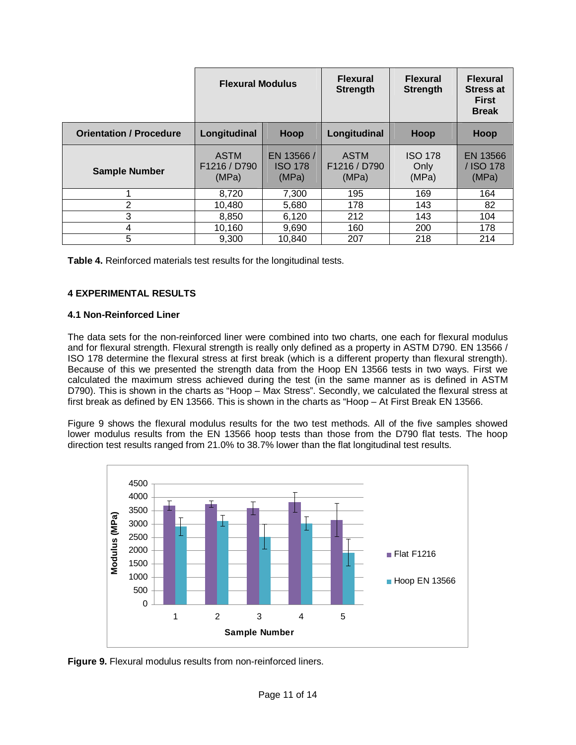|                                | <b>Flexural Modulus</b>              |                                       | <b>Flexural</b><br><b>Strength</b>   | <b>Flexural</b><br><b>Strength</b> | <b>Flexural</b><br><b>Stress at</b><br><b>First</b><br><b>Break</b> |
|--------------------------------|--------------------------------------|---------------------------------------|--------------------------------------|------------------------------------|---------------------------------------------------------------------|
| <b>Orientation / Procedure</b> | Longitudinal                         | Hoop                                  | Longitudinal                         | Hoop                               | Hoop                                                                |
| <b>Sample Number</b>           | <b>ASTM</b><br>F1216 / D790<br>(MPa) | EN 13566 /<br><b>ISO 178</b><br>(MPa) | <b>ASTM</b><br>F1216 / D790<br>(MPa) | <b>ISO 178</b><br>Only<br>(MPa)    | EN 13566<br>/ ISO 178<br>(MPa)                                      |
|                                | 8,720                                | 7,300                                 | 195                                  | 169                                | 164                                                                 |
| $\overline{2}$                 | 10.480                               | 5,680                                 | 178                                  | 143                                | 82                                                                  |
| 3                              | 8,850                                | 6,120                                 | 212                                  | 143                                | 104                                                                 |
| 4                              | 10,160                               | 9,690                                 | 160                                  | 200                                | 178                                                                 |
| 5                              | 9.300                                | 10,840                                | 207                                  | 218                                | 214                                                                 |

**Table 4.** Reinforced materials test results for the longitudinal tests.

### **4 EXPERIMENTAL RESULTS**

### **4.1 Non-Reinforced Liner**

The data sets for the non-reinforced liner were combined into two charts, one each for flexural modulus and for flexural strength. Flexural strength is really only defined as a property in ASTM D790. EN 13566 / ISO 178 determine the flexural stress at first break (which is a different property than flexural strength). Because of this we presented the strength data from the Hoop EN 13566 tests in two ways. First we calculated the maximum stress achieved during the test (in the same manner as is defined in ASTM D790). This is shown in the charts as "Hoop – Max Stress". Secondly, we calculated the flexural stress at first break as defined by EN 13566. This is shown in the charts as "Hoop – At First Break EN 13566.

Figure 9 shows the flexural modulus results for the two test methods. All of the five samples showed lower modulus results from the EN 13566 hoop tests than those from the D790 flat tests. The hoop direction test results ranged from 21.0% to 38.7% lower than the flat longitudinal test results.



**Figure 9.** Flexural modulus results from non-reinforced liners.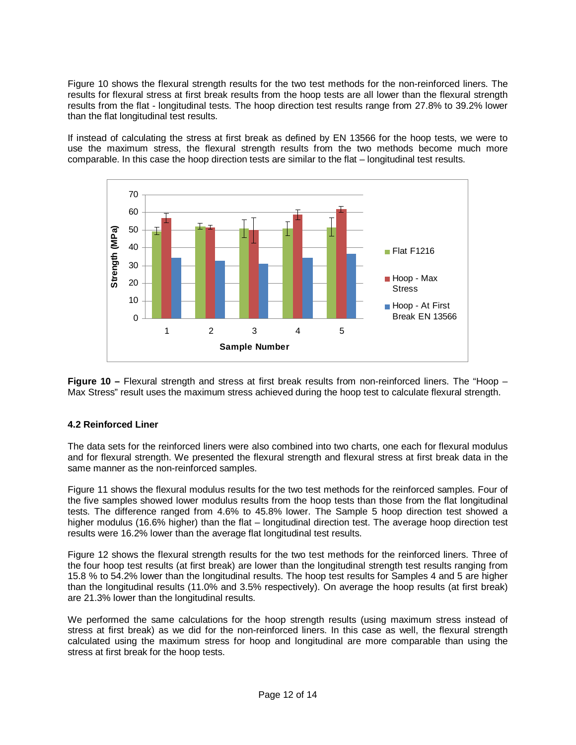Figure 10 shows the flexural strength results for the two test methods for the non-reinforced liners. The results for flexural stress at first break results from the hoop tests are all lower than the flexural strength results from the flat - longitudinal tests. The hoop direction test results range from 27.8% to 39.2% lower than the flat longitudinal test results.

If instead of calculating the stress at first break as defined by EN 13566 for the hoop tests, we were to use the maximum stress, the flexural strength results from the two methods become much more comparable. In this case the hoop direction tests are similar to the flat – longitudinal test results.



**Figure 10 –** Flexural strength and stress at first break results from non-reinforced liners. The "Hoop – Max Stress" result uses the maximum stress achieved during the hoop test to calculate flexural strength.

### **4.2 Reinforced Liner**

The data sets for the reinforced liners were also combined into two charts, one each for flexural modulus and for flexural strength. We presented the flexural strength and flexural stress at first break data in the same manner as the non-reinforced samples.

Figure 11 shows the flexural modulus results for the two test methods for the reinforced samples. Four of the five samples showed lower modulus results from the hoop tests than those from the flat longitudinal tests. The difference ranged from 4.6% to 45.8% lower. The Sample 5 hoop direction test showed a higher modulus (16.6% higher) than the flat – longitudinal direction test. The average hoop direction test results were 16.2% lower than the average flat longitudinal test results.

Figure 12 shows the flexural strength results for the two test methods for the reinforced liners. Three of the four hoop test results (at first break) are lower than the longitudinal strength test results ranging from 15.8 % to 54.2% lower than the longitudinal results. The hoop test results for Samples 4 and 5 are higher than the longitudinal results (11.0% and 3.5% respectively). On average the hoop results (at first break) are 21.3% lower than the longitudinal results.

We performed the same calculations for the hoop strength results (using maximum stress instead of stress at first break) as we did for the non-reinforced liners. In this case as well, the flexural strength calculated using the maximum stress for hoop and longitudinal are more comparable than using the stress at first break for the hoop tests.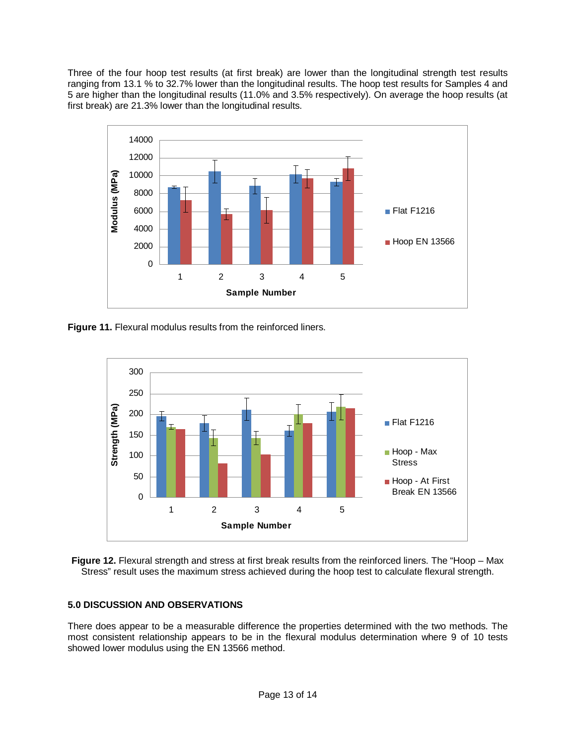Three of the four hoop test results (at first break) are lower than the longitudinal strength test results ranging from 13.1 % to 32.7% lower than the longitudinal results. The hoop test results for Samples 4 and 5 are higher than the longitudinal results (11.0% and 3.5% respectively). On average the hoop results (at first break) are 21.3% lower than the longitudinal results.



**Figure 11.** Flexural modulus results from the reinforced liners.





### **5.0 DISCUSSION AND OBSERVATIONS**

There does appear to be a measurable difference the properties determined with the two methods. The most consistent relationship appears to be in the flexural modulus determination where 9 of 10 tests showed lower modulus using the EN 13566 method.